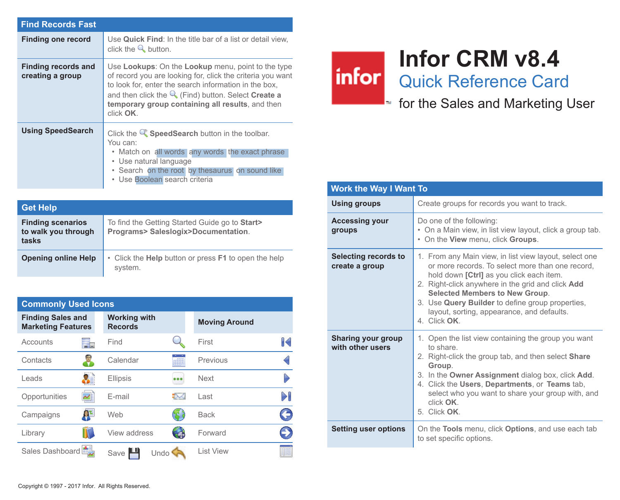| <b>Find Records Fast</b>                |                                                                                                                                                                                                                                                                                                             |
|-----------------------------------------|-------------------------------------------------------------------------------------------------------------------------------------------------------------------------------------------------------------------------------------------------------------------------------------------------------------|
| <b>Finding one record</b>               | Use Quick Find: In the title bar of a list or detail view.<br>click the $\mathbb Q$ button.                                                                                                                                                                                                                 |
| Finding records and<br>creating a group | Use Lookups: On the Lookup menu, point to the type<br>of record you are looking for, click the criteria you want<br>to look for, enter the search information in the box,<br>and then click the $\mathbb Q$ (Find) button. Select Create a<br>temporary group containing all results, and then<br>click OK. |
| <b>Using SpeedSearch</b>                | Click the $\mathbb{Q}^*$ Speed Search button in the toolbar.<br>You can:<br>• Match on all words any words the exact phrase<br>• Use natural language<br>. Search on the root by thesaurus on sound like<br>• Use Boolean search criteria                                                                   |

| <b>Get Help</b>                                          |                                                                                       |
|----------------------------------------------------------|---------------------------------------------------------------------------------------|
| <b>Finding scenarios</b><br>to walk you through<br>tasks | To find the Getting Started Guide go to Start><br>Programs> Saleslogix>Documentation. |
| <b>Opening online Help</b>                               | • Click the <b>Help</b> button or press <b>F1</b> to open the help<br>system.         |

| <b>Commonly Used Icons</b>                            |                                       |   |                      |              |
|-------------------------------------------------------|---------------------------------------|---|----------------------|--------------|
| <b>Finding Sales and</b><br><b>Marketing Features</b> | <b>Working with</b><br><b>Records</b> |   | <b>Moving Around</b> |              |
| Accounts<br>۳.                                        | Find                                  |   | First                | $\mathbb{R}$ |
| Contacts                                              | Calendar                              |   | Previous             |              |
| Leads                                                 | Ellipsis                              |   | <b>Next</b>          |              |
| Opportunities                                         | E-mail                                |   | Last                 |              |
| 혈년<br>Campaigns                                       | Web                                   |   | <b>Back</b>          | €            |
| Library                                               | View address                          | G | Forward              | 9            |
| Sales Dashboard                                       | Undo<br>Save                          |   | List View            |              |

## **Infor CRM v8.4**

infor Quick Reference Card

 $\blacksquare$  for the Sales and Marketing User

| <b>Work the Way I Want To</b>                 |                                                                                                                                                                                                                                                                                                                                                                      |  |
|-----------------------------------------------|----------------------------------------------------------------------------------------------------------------------------------------------------------------------------------------------------------------------------------------------------------------------------------------------------------------------------------------------------------------------|--|
| Using groups                                  | Create groups for records you want to track.                                                                                                                                                                                                                                                                                                                         |  |
| <b>Accessing your</b><br>groups               | Do one of the following:<br>• On a Main view, in list view layout, click a group tab.<br>. On the View menu, click Groups.                                                                                                                                                                                                                                           |  |
| Selecting records to<br>create a group        | 1. From any Main view, in list view layout, select one<br>or more records. To select more than one record,<br>hold down [Ctrl] as you click each item.<br>2. Right-click anywhere in the grid and click Add<br><b>Selected Members to New Group.</b><br>3. Use Query Builder to define group properties,<br>layout, sorting, appearance, and defaults.<br>4 Click OK |  |
| <b>Sharing your group</b><br>with other users | 1. Open the list view containing the group you want<br>to share<br>2. Right-click the group tab, and then select <b>Share</b><br>Group.<br>3. In the Owner Assignment dialog box, click Add.<br>4. Click the Users, Departments, or Teams tab,<br>select who you want to share your group with, and<br>click OK<br>5. Click OK.                                      |  |
| <b>Setting user options</b>                   | On the Tools menu, click Options, and use each tab<br>to set specific options.                                                                                                                                                                                                                                                                                       |  |